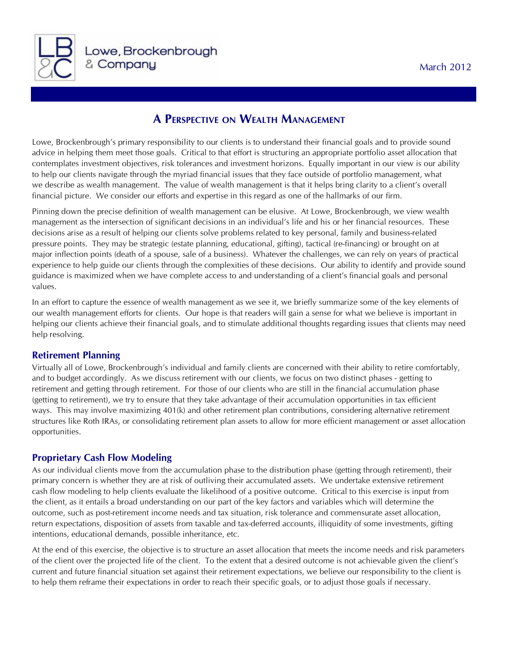

# **A Perspective on Wealth Management**

Lowe, Brockenbrough's primary responsibility to our clients is to understand their financial goals and to provide sound advice in helping them meet those goals. Critical to that effort is structuring an appropriate portfolio asset allocation that contemplates investment objectives, risk tolerances and investment horizons. Equally important in our view is our ability to help our clients navigate through the myriad financial issues that they face outside of portfolio management, what we describe as wealth management. The value of wealth management is that it helps bring clarity to a client's overall financial picture. We consider our efforts and expertise in this regard as one of the hallmarks of our firm.

Pinning down the precise definition of wealth management can be elusive. At Lowe, Brockenbrough, we view wealth management as the intersection of significant decisions in an individual's life and his or her financial resources. These decisions arise as a result of helping our clients solve problems related to key personal, family and business-related pressure points. They may be strategic (estate planning, educational, gifting), tactical (re-financing) or brought on at major inflection points (death of a spouse, sale of a business). Whatever the challenges, we can rely on years of practical experience to help guide our clients through the complexities of these decisions. Our ability to identify and provide sound guidance is maximized when we have complete access to and understanding of a client's financial goals and personal values.

In an effort to capture the essence of wealth management as we see it, we briefly summarize some of the key elements of our wealth management efforts for clients. Our hope is that readers will gain a sense for what we believe is important in helping our clients achieve their financial goals, and to stimulate additional thoughts regarding issues that clients may need help resolving.

## **Retirement Planning**

Virtually all of Lowe, Brockenbrough's individual and family clients are concerned with their ability to retire comfortably, and to budget accordingly. As we discuss retirement with our clients, we focus on two distinct phases - getting to retirement and getting through retirement. For those of our clients who are still in the financial accumulation phase (getting to retirement), we try to ensure that they take advantage of their accumulation opportunities in tax efficient ways. This may involve maximizing 401(k) and other retirement plan contributions, considering alternative retirement structures like Roth IRAs, or consolidating retirement plan assets to allow for more efficient management or asset allocation opportunities.

# **Proprietary Cash Flow Modeling**

As our individual clients move from the accumulation phase to the distribution phase (getting through retirement), their primary concern is whether they are at risk of outliving their accumulated assets. We undertake extensive retirement cash flow modeling to help clients evaluate the likelihood of a positive outcome. Critical to this exercise is input from the client, as it entails a broad understanding on our part of the key factors and variables which will determine the outcome, such as post-retirement income needs and tax situation, risk tolerance and commensurate asset allocation, return expectations, disposition of assets from taxable and tax-deferred accounts, illiquidity of some investments, gifting intentions, educational demands, possible inheritance, etc.

At the end of this exercise, the objective is to structure an asset allocation that meets the income needs and risk parameters of the client over the projected life of the client. To the extent that a desired outcome is not achievable given the client's current and future financial situation set against their retirement expectations, we believe our responsibility to the client is to help them reframe their expectations in order to reach their specific goals, or to adjust those goals if necessary.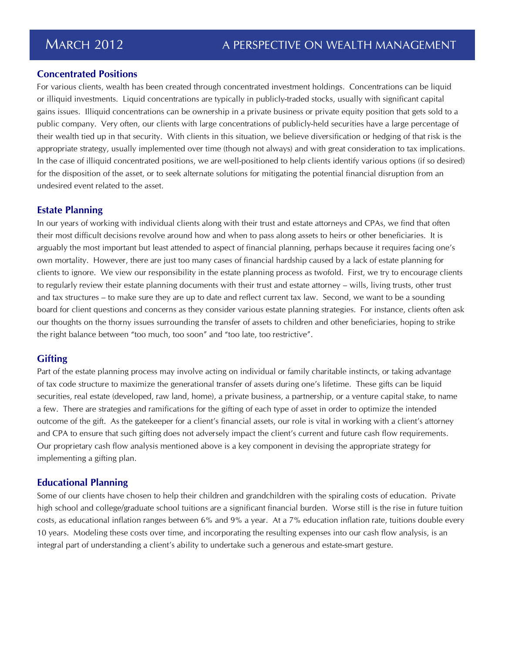### **Concentrated Positions**

For various clients, wealth has been created through concentrated investment holdings. Concentrations can be liquid or illiquid investments. Liquid concentrations are typically in publicly-traded stocks, usually with significant capital gains issues. Illiquid concentrations can be ownership in a private business or private equity position that gets sold to a public company. Very often, our clients with large concentrations of publicly-held securities have a large percentage of their wealth tied up in that security. With clients in this situation, we believe diversification or hedging of that risk is the appropriate strategy, usually implemented over time (though not always) and with great consideration to tax implications. In the case of illiquid concentrated positions, we are well-positioned to help clients identify various options (if so desired) for the disposition of the asset, or to seek alternate solutions for mitigating the potential financial disruption from an undesired event related to the asset.

### **Estate Planning**

In our years of working with individual clients along with their trust and estate attorneys and CPAs, we find that often their most difficult decisions revolve around how and when to pass along assets to heirs or other beneficiaries. It is arguably the most important but least attended to aspect of financial planning, perhaps because it requires facing one's own mortality. However, there are just too many cases of financial hardship caused by a lack of estate planning for clients to ignore. We view our responsibility in the estate planning process as twofold. First, we try to encourage clients to regularly review their estate planning documents with their trust and estate attorney – wills, living trusts, other trust and tax structures – to make sure they are up to date and reflect current tax law. Second, we want to be a sounding board for client questions and concerns as they consider various estate planning strategies. For instance, clients often ask our thoughts on the thorny issues surrounding the transfer of assets to children and other beneficiaries, hoping to strike the right balance between "too much, too soon" and "too late, too restrictive".

### **Gifting**

Part of the estate planning process may involve acting on individual or family charitable instincts, or taking advantage of tax code structure to maximize the generational transfer of assets during one's lifetime. These gifts can be liquid securities, real estate (developed, raw land, home), a private business, a partnership, or a venture capital stake, to name a few. There are strategies and ramifications for the gifting of each type of asset in order to optimize the intended outcome of the gift. As the gatekeeper for a client's financial assets, our role is vital in working with a client's attorney and CPA to ensure that such gifting does not adversely impact the client's current and future cash flow requirements. Our proprietary cash flow analysis mentioned above is a key component in devising the appropriate strategy for implementing a gifting plan.

### **Educational Planning**

Some of our clients have chosen to help their children and grandchildren with the spiraling costs of education. Private high school and college/graduate school tuitions are a significant financial burden. Worse still is the rise in future tuition costs, as educational inflation ranges between 6% and 9% a year. At a 7% education inflation rate, tuitions double every 10 years. Modeling these costs over time, and incorporating the resulting expenses into our cash flow analysis, is an integral part of understanding a client's ability to undertake such a generous and estate-smart gesture.